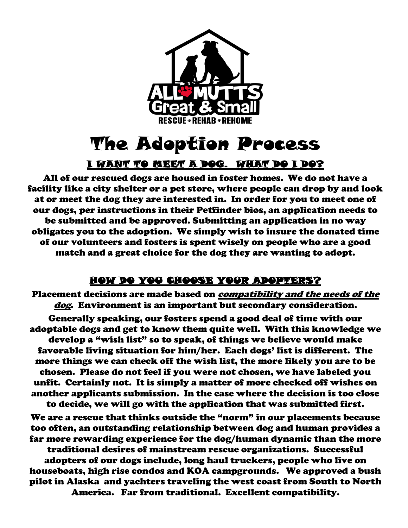

## The Adoption Process

## I WANT TO MEET A DOG. WHAT DO I DO?

All of our rescued dogs are housed in foster homes. We do not have a facility like a city shelter or a pet store, where people can drop by and look at or meet the dog they are interested in. In order for you to meet one of our dogs, per instructions in their Petfinder bios, an application needs to be submitted and be approved. Submitting an application in no way obligates you to the adoption. We simply wish to insure the donated time of our volunteers and fosters is spent wisely on people who are a good match and a great choice for the dog they are wanting to adopt.

## HOW DO YOU CHOOSE YOUR ADOPTERS?

Placement decisions are made based on compatibility and the needs of the dog. Environment is an important but secondary consideration.

Generally speaking, our fosters spend a good deal of time with our adoptable dogs and get to know them quite well. With this knowledge we develop a "wish list" so to speak, of things we believe would make favorable living situation for him/her. Each dogs' list is different. The more things we can check off the wish list, the more likely you are to be chosen. Please do not feel if you were not chosen, we have labeled you unfit. Certainly not. It is simply a matter of more checked off wishes on another applicants submission. In the case where the decision is too close to decide, we will go with the application that was submitted first.

We are a rescue that thinks outside the "norm" in our placements because too often, an outstanding relationship between dog and human provides a far more rewarding experience for the dog/human dynamic than the more traditional desires of mainstream rescue organizations. Successful adopters of our dogs include, long haul truckers, people who live on houseboats, high rise condos and KOA campgrounds. We approved a bush pilot in Alaska and yachters traveling the west coast from South to North America. Far from traditional. Excellent compatibility.